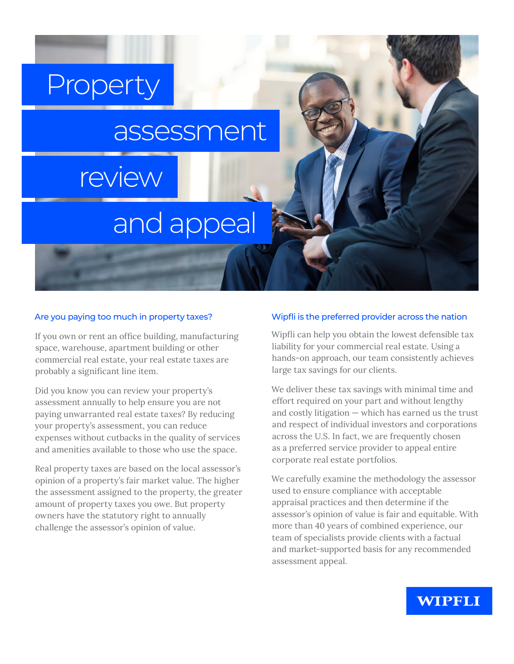## Property

### assessment

## review

# and appeal

#### Are you paying too much in property taxes?

If you own or rent an office building, manufacturing space, warehouse, apartment building or other commercial real estate, your real estate taxes are probably a significant line item.

Did you know you can review your property's assessment annually to help ensure you are not paying unwarranted real estate taxes? By reducing your property's assessment, you can reduce expenses without cutbacks in the quality of services and amenities available to those who use the space.

Real property taxes are based on the local assessor's opinion of a property's fair market value. The higher the assessment assigned to the property, the greater amount of property taxes you owe. But property owners have the statutory right to annually challenge the assessor's opinion of value.

#### Wipfli is the preferred provider across the nation

Wipfli can help you obtain the lowest defensible tax liability for your commercial real estate. Using a hands-on approach, our team consistently achieves large tax savings for our clients.

We deliver these tax savings with minimal time and effort required on your part and without lengthy and costly litigation — which has earned us the trust and respect of individual investors and corporations across the U.S. In fact, we are frequently chosen as a preferred service provider to appeal entire corporate real estate portfolios.

We carefully examine the methodology the assessor used to ensure compliance with acceptable appraisal practices and then determine if the assessor's opinion of value is fair and equitable. With more than 40 years of combined experience, our team of specialists provide clients with a factual and market-supported basis for any recommended assessment appeal.

### **WIPFLI**